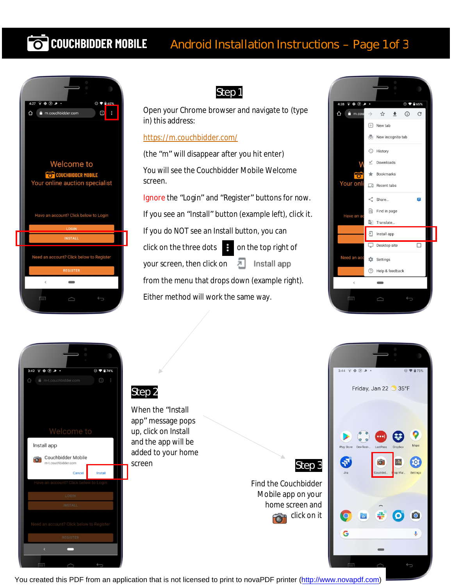# **COUCHBIDDER MOBILE** Android Installation Instructions – Page 1 of 3



## Step 1

Open your Chrome browser and navigate to (type in) this address:

#### <https://m.couchbidder.com/>

(the "m" will disappear after you hit enter) You will see the Couchbidder Mobile Welcome screen.

Ignore the "Login" and "Register" buttons for now. If you see an "Install" button (example left), click it.

If you do NOT see an Install button, you can

click on the three dots on the top right of

your screen, then click on 치

from the menu that drops down (example right).

Install app

Either method will work the same way.





### Step 2

When the "Install app" message pops up, click on Install and the app will be added to your home screen



Find the Couchbidder Mobile app on your home screen and click on it



You created this PDF from an application that is not licensed to print to novaPDF printer ([http://www.novapdf.com\)](http://www.novapdf.com/)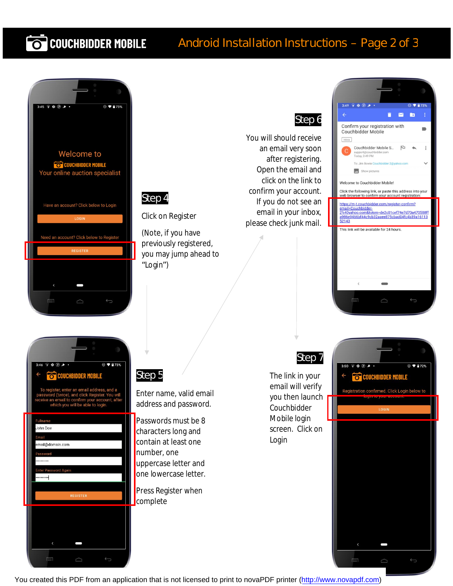# **COUCHBIDDER MOBILE**

## Android Installation Instructions – Page 2 of 3





Click on Register

(Note, if you have previously registered, you may jump ahead to "Login")

## Step 6

You will should receive an email very soon after registering. Open the email and click on the link to confirm your account. If you do not see an email in your inbox, please check junk mail.





 $\supset$ 

 $\equiv$ 

## Step 5

Enter name, valid email address and password.

Passwords must be 8 characters long and contain at least one number, one uppercase letter and one lowercase letter.

Press Register when complete

## Step 7

The link in your email will verify you then launch Couchbidder Mobile login screen. Click on Login



You created this PDF from an application that is not licensed to print to novaPDF printer ([http://www.novapdf.com\)](http://www.novapdf.com/)